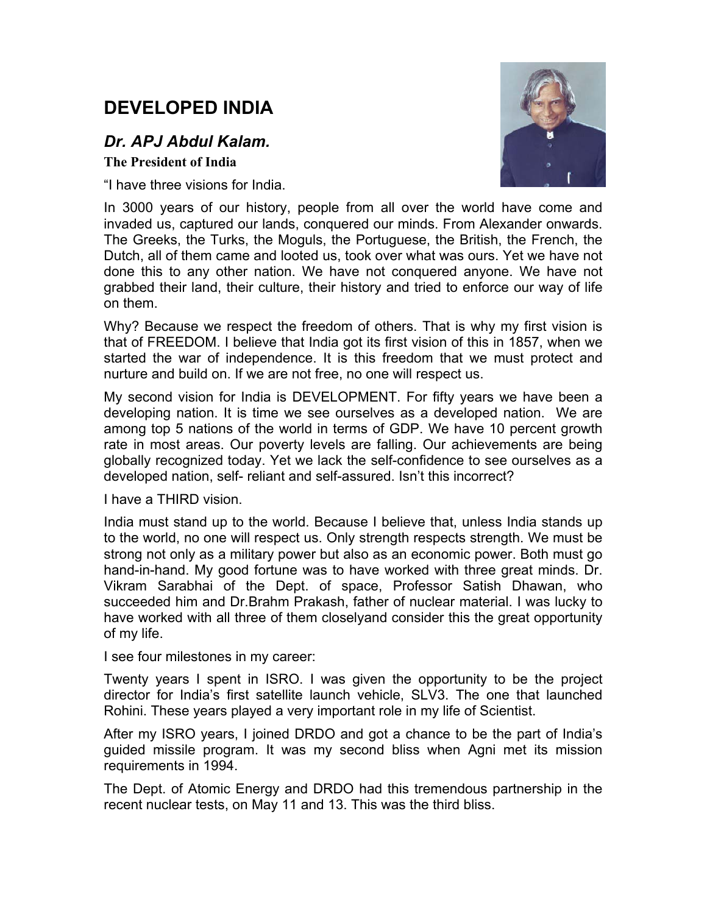# **DEVELOPED INDIA**

## *Dr. APJ Abdul Kalam.*

### **The President of India**

"I have three visions for India.



In 3000 years of our history, people from all over the world have come and invaded us, captured our lands, conquered our minds. From Alexander onwards. The Greeks, the Turks, the Moguls, the Portuguese, the British, the French, the Dutch, all of them came and looted us, took over what was ours. Yet we have not done this to any other nation. We have not conquered anyone. We have not grabbed their land, their culture, their history and tried to enforce our way of life on them.

Why? Because we respect the freedom of others. That is why my first vision is that of FREEDOM. I believe that India got its first vision of this in 1857, when we started the war of independence. It is this freedom that we must protect and nurture and build on. If we are not free, no one will respect us.

My second vision for India is DEVELOPMENT. For fifty years we have been a developing nation. It is time we see ourselves as a developed nation. We are among top 5 nations of the world in terms of GDP. We have 10 percent growth rate in most areas. Our poverty levels are falling. Our achievements are being globally recognized today. Yet we lack the self-confidence to see ourselves as a developed nation, self- reliant and self-assured. Isn't this incorrect?

I have a THIRD vision.

India must stand up to the world. Because I believe that, unless India stands up to the world, no one will respect us. Only strength respects strength. We must be strong not only as a military power but also as an economic power. Both must go hand-in-hand. My good fortune was to have worked with three great minds. Dr. Vikram Sarabhai of the Dept. of space, Professor Satish Dhawan, who succeeded him and Dr.Brahm Prakash, father of nuclear material. I was lucky to have worked with all three of them closelyand consider this the great opportunity of my life.

I see four milestones in my career:

Twenty years I spent in ISRO. I was given the opportunity to be the project director for India's first satellite launch vehicle, SLV3. The one that launched Rohini. These years played a very important role in my life of Scientist.

After my ISRO years, I joined DRDO and got a chance to be the part of India's guided missile program. It was my second bliss when Agni met its mission requirements in 1994.

The Dept. of Atomic Energy and DRDO had this tremendous partnership in the recent nuclear tests, on May 11 and 13. This was the third bliss.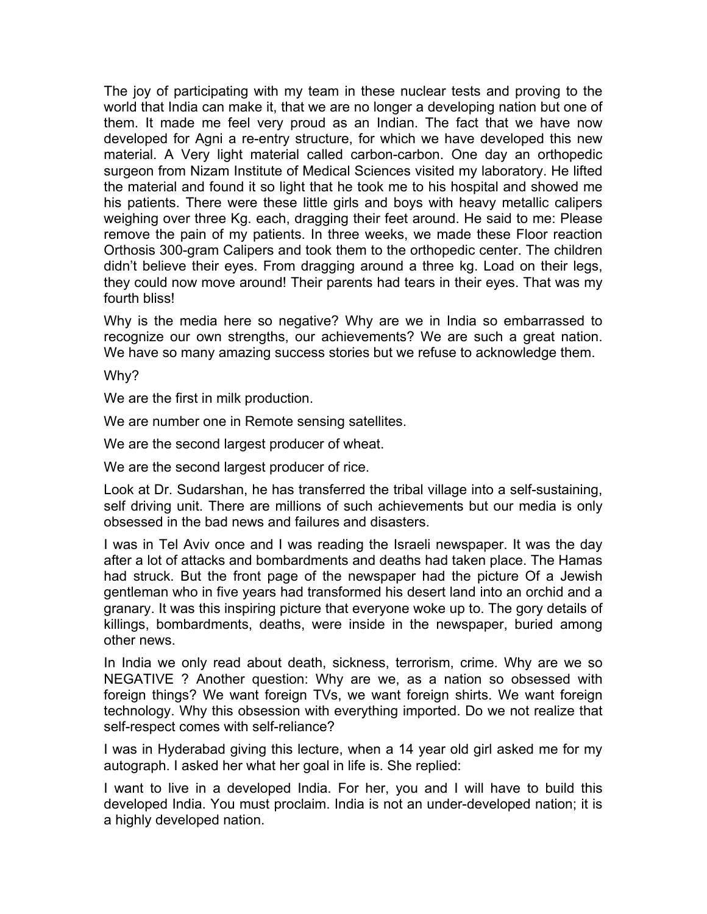The joy of participating with my team in these nuclear tests and proving to the world that India can make it, that we are no longer a developing nation but one of them. It made me feel very proud as an Indian. The fact that we have now developed for Agni a re-entry structure, for which we have developed this new material. A Very light material called carbon-carbon. One day an orthopedic surgeon from Nizam Institute of Medical Sciences visited my laboratory. He lifted the material and found it so light that he took me to his hospital and showed me his patients. There were these little girls and boys with heavy metallic calipers weighing over three Kg. each, dragging their feet around. He said to me: Please remove the pain of my patients. In three weeks, we made these Floor reaction Orthosis 300-gram Calipers and took them to the orthopedic center. The children didn't believe their eyes. From dragging around a three kg. Load on their legs, they could now move around! Their parents had tears in their eyes. That was my fourth bliss!

Why is the media here so negative? Why are we in India so embarrassed to recognize our own strengths, our achievements? We are such a great nation. We have so many amazing success stories but we refuse to acknowledge them.

### Why?

We are the first in milk production.

We are number one in Remote sensing satellites.

We are the second largest producer of wheat.

We are the second largest producer of rice.

Look at Dr. Sudarshan, he has transferred the tribal village into a self-sustaining, self driving unit. There are millions of such achievements but our media is only obsessed in the bad news and failures and disasters.

I was in Tel Aviv once and I was reading the Israeli newspaper. It was the day after a lot of attacks and bombardments and deaths had taken place. The Hamas had struck. But the front page of the newspaper had the picture Of a Jewish gentleman who in five years had transformed his desert land into an orchid and a granary. It was this inspiring picture that everyone woke up to. The gory details of killings, bombardments, deaths, were inside in the newspaper, buried among other news.

In India we only read about death, sickness, terrorism, crime. Why are we so NEGATIVE ? Another question: Why are we, as a nation so obsessed with foreign things? We want foreign TVs, we want foreign shirts. We want foreign technology. Why this obsession with everything imported. Do we not realize that self-respect comes with self-reliance?

I was in Hyderabad giving this lecture, when a 14 year old girl asked me for my autograph. I asked her what her goal in life is. She replied:

I want to live in a developed India. For her, you and I will have to build this developed India. You must proclaim. India is not an under-developed nation; it is a highly developed nation.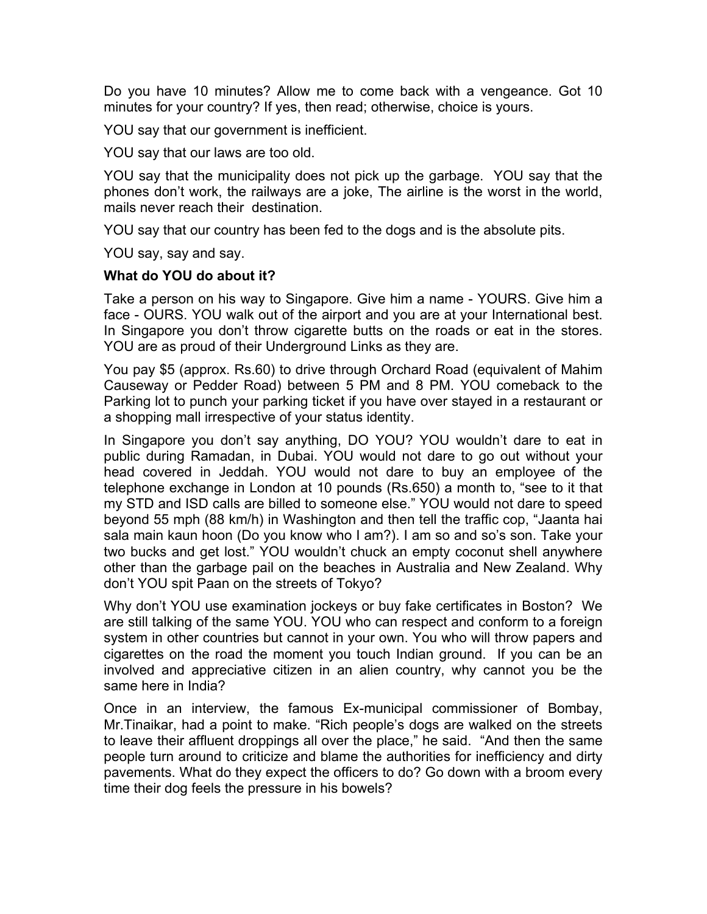Do you have 10 minutes? Allow me to come back with a vengeance. Got 10 minutes for your country? If yes, then read; otherwise, choice is yours.

YOU say that our government is inefficient.

YOU say that our laws are too old.

YOU say that the municipality does not pick up the garbage. YOU say that the phones don't work, the railways are a joke, The airline is the worst in the world, mails never reach their destination.

YOU say that our country has been fed to the dogs and is the absolute pits.

YOU say, say and say.

#### **What do YOU do about it?**

Take a person on his way to Singapore. Give him a name - YOURS. Give him a face - OURS. YOU walk out of the airport and you are at your International best. In Singapore you don't throw cigarette butts on the roads or eat in the stores. YOU are as proud of their Underground Links as they are.

You pay \$5 (approx. Rs.60) to drive through Orchard Road (equivalent of Mahim Causeway or Pedder Road) between 5 PM and 8 PM. YOU comeback to the Parking lot to punch your parking ticket if you have over stayed in a restaurant or a shopping mall irrespective of your status identity.

In Singapore you don't say anything, DO YOU? YOU wouldn't dare to eat in public during Ramadan, in Dubai. YOU would not dare to go out without your head covered in Jeddah. YOU would not dare to buy an employee of the telephone exchange in London at 10 pounds (Rs.650) a month to, "see to it that my STD and ISD calls are billed to someone else." YOU would not dare to speed beyond 55 mph (88 km/h) in Washington and then tell the traffic cop, "Jaanta hai sala main kaun hoon (Do you know who I am?). I am so and so's son. Take your two bucks and get lost." YOU wouldn't chuck an empty coconut shell anywhere other than the garbage pail on the beaches in Australia and New Zealand. Why don't YOU spit Paan on the streets of Tokyo?

Why don't YOU use examination jockeys or buy fake certificates in Boston? We are still talking of the same YOU. YOU who can respect and conform to a foreign system in other countries but cannot in your own. You who will throw papers and cigarettes on the road the moment you touch Indian ground. If you can be an involved and appreciative citizen in an alien country, why cannot you be the same here in India?

Once in an interview, the famous Ex-municipal commissioner of Bombay, Mr.Tinaikar, had a point to make. "Rich people's dogs are walked on the streets to leave their affluent droppings all over the place," he said. "And then the same people turn around to criticize and blame the authorities for inefficiency and dirty pavements. What do they expect the officers to do? Go down with a broom every time their dog feels the pressure in his bowels?